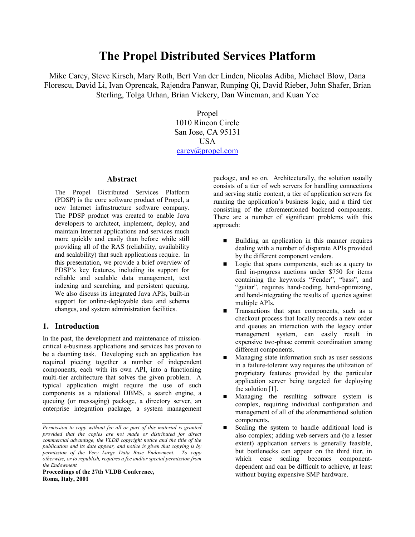# **The Propel Distributed Services Platform**

Mike Carey, Steve Kirsch, Mary Roth, Bert Van der Linden, Nicolas Adiba, Michael Blow, Dana Florescu, David Li, Ivan Oprencak, Rajendra Panwar, Runping Qi, David Rieber, John Shafer, Brian Sterling, Tolga Urhan, Brian Vickery, Dan Wineman, and Kuan Yee

> Propel 1010 Rincon Circle San Jose, CA 95131 USA carey@propel.com

# **Abstract**

The Propel Distributed Services Platform (PDSP) is the core software product of Propel, a new Internet infrastructure software company. The PDSP product was created to enable Java developers to architect, implement, deploy, and maintain Internet applications and services much more quickly and easily than before while still providing all of the RAS (reliability, availability and scalability) that such applications require. In this presentation, we provide a brief overview of PDSP's key features, including its support for reliable and scalable data management, text indexing and searching, and persistent queuing. We also discuss its integrated Java APIs, built-in support for online-deployable data and schema changes, and system administration facilities.

# **1. Introduction**

In the past, the development and maintenance of missioncritical e-business applications and services has proven to be a daunting task. Developing such an application has required piecing together a number of independent components, each with its own API, into a functioning multi-tier architecture that solves the given problem. A typical application might require the use of such components as a relational DBMS, a search engine, a queuing (or messaging) package, a directory server, an enterprise integration package, a system management

**Proceedings of the 27th VLDB Conference, Roma, Italy, 2001** 

package, and so on. Architecturally, the solution usually consists of a tier of web servers for handling connections and serving static content, a tier of application servers for running the application's business logic, and a third tier consisting of the aforementioned backend components. There are a number of significant problems with this approach:

- Building an application in this manner requires dealing with a number of disparate APIs provided by the different component vendors.
- Logic that spans components, such as a query to find in-progress auctions under \$750 for items containing the keywords "Fender", "bass", and "guitar", requires hand-coding, hand-optimizing, and hand-integrating the results of queries against multiple APIs.
- **Transactions that span components, such as a** checkout process that locally records a new order and queues an interaction with the legacy order management system, can easily result in expensive two-phase commit coordination among different components.
- Managing state information such as user sessions in a failure-tolerant way requires the utilization of proprietary features provided by the particular application server being targeted for deploying the solution [1].
- Managing the resulting software system is complex, requiring individual configuration and management of all of the aforementioned solution components.
- Scaling the system to handle additional load is also complex; adding web servers and (to a lesser extent) application servers is generally feasible, but bottlenecks can appear on the third tier, in which case scaling becomes componentdependent and can be difficult to achieve, at least without buying expensive SMP hardware.

*Permission to copy without fee all or part of this material is granted provided that the copies are not made or distributed for direct commercial advantage, the VLDB copyright notice and the title of the publication and its date appear, and notice is given that copying is by permission of the Very Large Data Base Endowment. To copy otherwise, or to republish, requires a fee and/or special permission from the Endowment*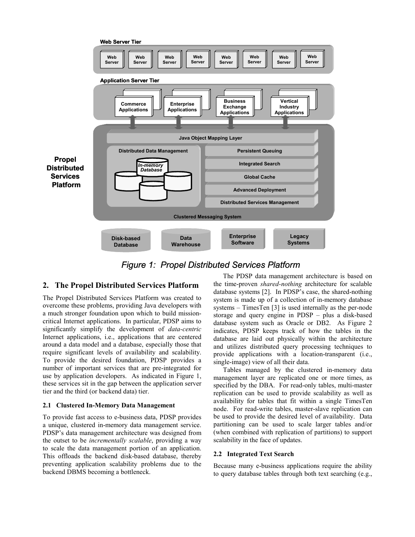



# **2. The Propel Distributed Services Platform**

The Propel Distributed Services Platform was created to overcome these problems, providing Java developers with a much stronger foundation upon which to build missioncritical Internet applications. In particular, PDSP aims to significantly simplify the development of *data-centric*  Internet applications, i.e., applications that are centered around a data model and a database, especially those that require significant levels of availability and scalability. To provide the desired foundation, PDSP provides a number of important services that are pre-integrated for use by application developers. As indicated in Figure 1, these services sit in the gap between the application server tier and the third (or backend data) tier.

#### **2.1 Clustered In-Memory Data Management**

To provide fast access to e-business data, PDSP provides a unique, clustered in-memory data management service. PDSP's data management architecture was designed from the outset to be *incrementally scalable*, providing a way to scale the data management portion of an application. This offloads the backend disk-based database, thereby preventing application scalability problems due to the backend DBMS becoming a bottleneck.

The PDSP data management architecture is based on the time-proven *shared-nothing* architecture for scalable database systems [2]. In PDSP's case, the shared-nothing system is made up of a collection of in-memory database systems – TimesTen [3] is used internally as the per-node storage and query engine in PDSP – plus a disk-based database system such as Oracle or DB2. As Figure 2 indicates, PDSP keeps track of how the tables in the database are laid out physically within the architecture and utilizes distributed query processing techniques to provide applications with a location-transparent (i.e., single-image) view of all their data.

Tables managed by the clustered in-memory data management layer are replicated one or more times, as specified by the DBA. For read-only tables, multi-master replication can be used to provide scalability as well as availability for tables that fit within a single TimesTen node. For read-write tables, master-slave replication can be used to provide the desired level of availability. Data partitioning can be used to scale larger tables and/or (when combined with replication of partitions) to support scalability in the face of updates.

#### **2.2 Integrated Text Search**

Because many e-business applications require the ability to query database tables through both text searching (e.g.,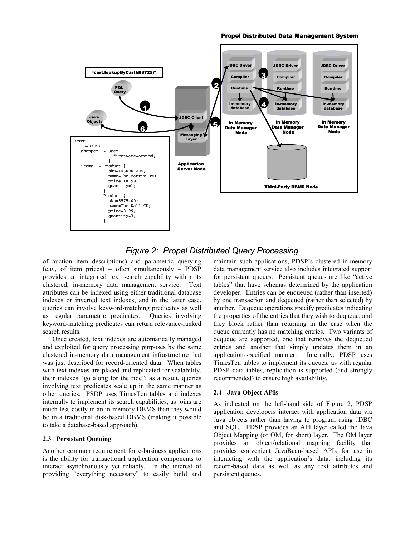#### Propel Distributed Data Management System



*Figure 2: Propel Distributed Query Processing*

of auction item descriptions) and parametric querying (e.g., of item prices) – often simultaneously – PDSP provides an integrated text search capability within its clustered, in-memory data management service. Text attributes can be indexed using either traditional database indexes or inverted text indexes, and in the latter case, queries can involve keyword-matching predicates as well as regular parametric predicates. Queries involving keyword-matching predicates can return relevance-ranked search results.

Once created, text indexes are automatically managed and exploited for query processing purposes by the same clustered in-memory data management infrastructure that was just described for record-oriented data. When tables with text indexes are placed and replicated for scalability, their indexes "go along for the ride"; as a result, queries involving text predicates scale up in the same manner as other queries. PSDP uses TimesTen tables and indexes internally to implement its search capabilities, as joins are much less costly in an in-memory DBMS than they would be in a traditional disk-based DBMS (making it possible to take a database-based approach).

#### **2.3 Persistent Queuing**

Another common requirement for e-business applications is the ability for transactional application components to interact asynchronously yet reliably. In the interest of providing "everything necessary" to easily build and

maintain such applications, PDSP's clustered in-memory data management service also includes integrated support for persistent queues. Persistent queues are like "active tables" that have schemas determined by the application developer. Entries can be enqueued (rather than inserted) by one transaction and dequeued (rather than selected) by another. Dequeue operations specify predicates indicating the properties of the entries that they wish to dequeue, and they block rather than returning in the case when the queue currently has no matching entries. Two variants of dequeue are supported, one that removes the dequeued entries and another that simply updates them in an application-specified manner. Internally, PDSP uses TimesTen tables to implement its queues; as with regular PDSP data tables, replication is supported (and strongly recommended) to ensure high availability.

## **2.4 Java Object APIs**

As indicated on the left-hand side of Figure 2, PDSP application developers interact with application data via Java objects rather than having to program using JDBC and SQL. PDSP provides an API layer called the Java Object Mapping (or OM, for short) layer. The OM layer provides an object/relational mapping facility that provides convenient JavaBean-based APIs for use in interacting with the application's data, including its record-based data as well as any text attributes and persistent queues.